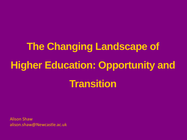# **The Changing Landscape of Higher Education: Opportunity and Transition**

Alison Shaw alison.shaw@Newcastle.ac.uk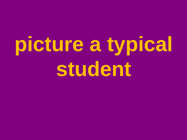# **picture a typical student**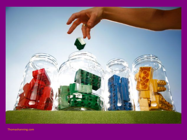

Thomashanning.com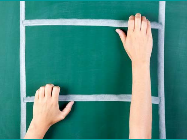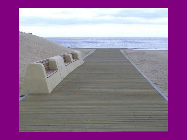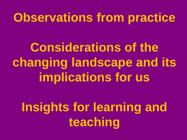# **Observations from practice**

**Considerations of the changing landscape and its implications for us**

**Insights for learning and teaching**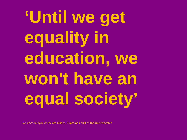**'Until we get equality in education, we won't have an equal society'**

Sonia Sotomayor, Associate Justice, Supreme Court of the United States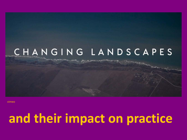### CHANGING LANDSCAPES

vimeo

# **and their impact on practice**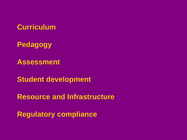**Curriculum**

**Pedagogy** 

**Assessment**

**Student development**

**Resource and Infrastructure**

**Regulatory compliance**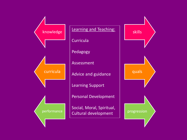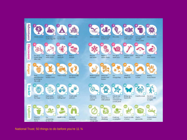

National Trust; 50 things to do before you're 11 %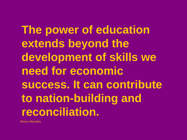**The power of education extends beyond the development of skills we need for economic success. It can contribute to nation-building and reconciliation.**

Nelson Mandela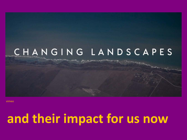### CHANGING LANDSCAPES

vimeo

# **and their impact for us now**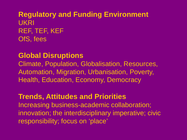#### **Regulatory and Funding Environment** UKRI REF, TEF, KEF OfS, fees

#### **Global Disruptions**

Climate, Population, Globalisation, Resources, Automation, Migration, Urbanisation, Poverty, Health, Education, Economy, Democracy

#### **Trends, Attitudes and Priorities**

Increasing business-academic collaboration; innovation; the interdisciplinary imperative; civic responsibility; focus on 'place'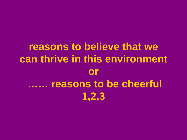# **reasons to believe that we can thrive in this environment or …… reasons to be cheerful 1,2,3**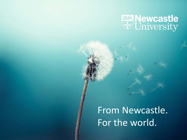

From Newcastle. For the world.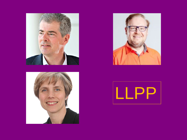





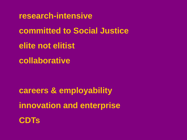**research-intensive**

**committed to Social Justice**

**elite not elitist**

**collaborative**

**careers & employability innovation and enterprise CDTs**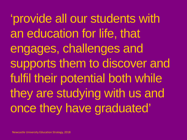'provide all our students with an education for life, that engages, challenges and supports them to discover and fulfil their potential both while they are studying with us and once they have graduated'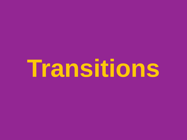**Transitions**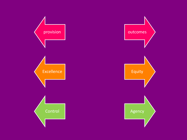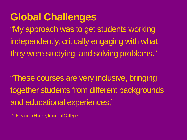## **Global Challenges**

"My approach was to get students working independently, critically engaging with what they were studying, and solving problems."

"These courses are very inclusive, bringing together students from different backgrounds and educational experiences,"

Dr Elizabeth Hauke, Imperial College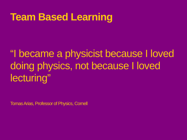### **Team Based Learning**

"I became a physicist because I loved doing physics, not because I loved lecturing"

Tomas Arias, Professor of Physics, Cornell